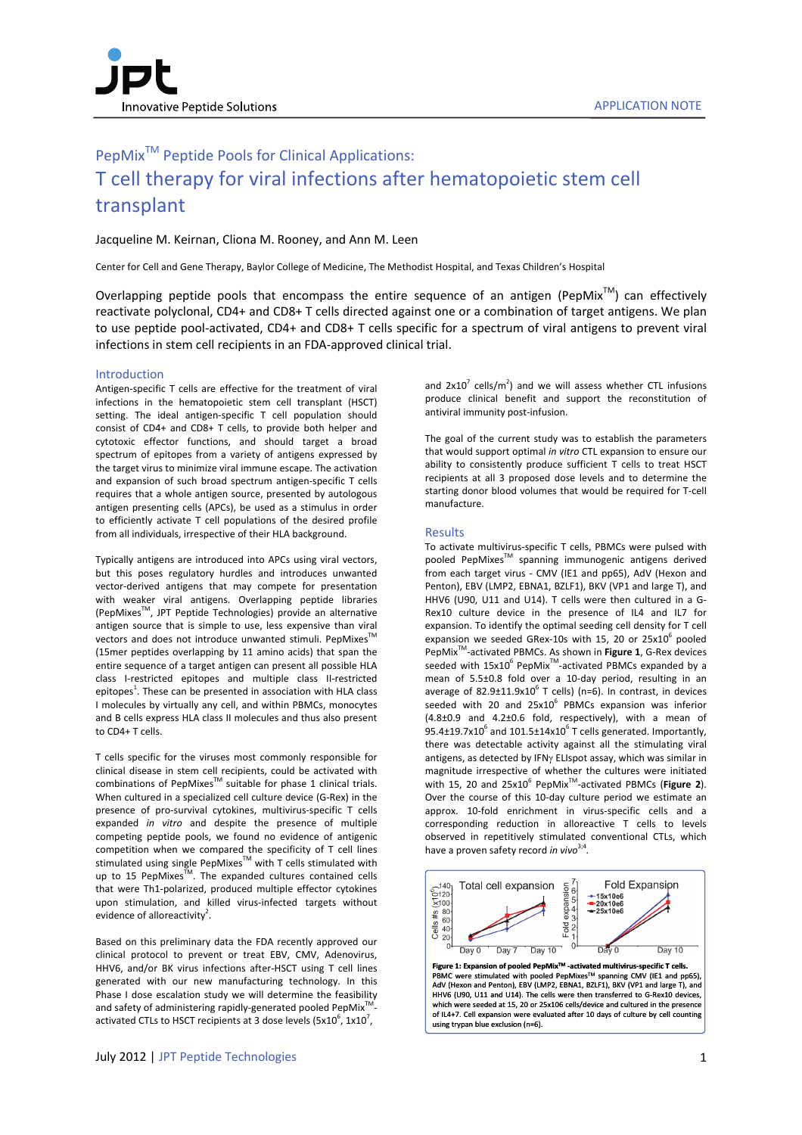# PepMix<sup>™</sup> Peptide Pools for Clinical Applications: T cell therapy for viral infections after hematopoietic stem cell transplant

# Jacqueline M. Keirnan, Cliona M. Rooney, and Ann M. Leen

Center for Cell and Gene Therapy, Baylor College of Medicine, The Methodist Hospital, and Texas Children's Hospital

Overlapping peptide pools that encompass the entire sequence of an antigen (PepMix<sup>TM</sup>) can effectively reactivate polyclonal, CD4+ and CD8+ T cells directed against one or a combination of target antigens. We plan to use peptide pool-activated, CD4+ and CD8+ T cells specific for a spectrum of viral antigens to prevent viral infections in stem cell recipients in an FDA‐approved clinical trial.

# Introduction

Antigen‐specific T cells are effective for the treatment of viral infections in the hematopoietic stem cell transplant (HSCT) setting. The ideal antigen-specific T cell population should consist of CD4+ and CD8+ T cells, to provide both helper and cytotoxic effector functions, and should target a broad spectrum of epitopes from a variety of antigens expressed by the target virus to minimize viral immune escape. The activation and expansion of such broad spectrum antigen‐specific T cells requires that a whole antigen source, presented by autologous antigen presenting cells (APCs), be used as a stimulus in order to efficiently activate T cell populations of the desired profile from all individuals, irrespective of their HLA background.

Typically antigens are introduced into APCs using viral vectors, but this poses regulatory hurdles and introduces unwanted vector‐derived antigens that may compete for presentation with weaker viral antigens. Overlapping peptide libraries (PepMixesTM, JPT Peptide Technologies) provide an alternative antigen source that is simple to use, less expensive than viral vectors and does not introduce unwanted stimuli. PepMixes<sup>™</sup> (15mer peptides overlapping by 11 amino acids) that span the entire sequence of a target antigen can present all possible HLA class I‐restricted epitopes and multiple class II‐restricted epitopes<sup>1</sup>. These can be presented in association with HLA class I molecules by virtually any cell, and within PBMCs, monocytes and B cells express HLA class II molecules and thus also present to CD4+ T cells.

T cells specific for the viruses most commonly responsible for clinical disease in stem cell recipients, could be activated with combinations of PepMixes<sup>™</sup> suitable for phase 1 clinical trials. When cultured in a specialized cell culture device (G‐Rex) in the presence of pro‐survival cytokines, multivirus‐specific T cells expanded *in vitro* and despite the presence of multiple competing peptide pools, we found no evidence of antigenic competition when we compared the specificity of T cell lines stimulated using single PepMixes<sup>™</sup> with T cells stimulated with up to 15 PepMixes $\bar{M}$ . The expanded cultures contained cells that were Th1‐polarized, produced multiple effector cytokines upon stimulation, and killed virus‐infected targets without evidence of alloreactivity<sup>2</sup>.

Based on this preliminary data the FDA recently approved our clinical protocol to prevent or treat EBV, CMV, Adenovirus, HHV6, and/or BK virus infections after-HSCT using T cell lines generated with our new manufacturing technology. In this Phase I dose escalation study we will determine the feasibility and safety of administering rapidly-generated pooled  $PepMix<sup>T</sup>$ activated CTLs to HSCT recipients at 3 dose levels (5x10 $^6$ , 1x10 $^7$ ,

and  $2x10^7$  cells/m<sup>2</sup>) and we will assess whether CTL infusions produce clinical benefit and support the reconstitution of antiviral immunity post‐infusion.

The goal of the current study was to establish the parameters that would support optimal *in vitro* CTL expansion to ensure our ability to consistently produce sufficient T cells to treat HSCT recipients at all 3 proposed dose levels and to determine the starting donor blood volumes that would be required for T‐cell manufacture.

#### Results

To activate multivirus‐specific T cells, PBMCs were pulsed with pooled PepMixes<sup>™</sup> spanning immunogenic antigens derived from each target virus - CMV (IE1 and pp65), AdV (Hexon and Penton), EBV (LMP2, EBNA1, BZLF1), BKV (VP1 and large T), and HHV6 (U90, U11 and U14). T cells were then cultured in a G‐ Rex10 culture device in the presence of IL4 and IL7 for expansion. To identify the optimal seeding cell density for T cell expansion we seeded GRex-10s with 15, 20 or  $25x10^6$  pooled PepMixTM‐activated PBMCs. As shown in **Figure 1**, G‐Rex devices seeded with 15x10<sup>6</sup> PepMix<sup>™</sup>-activated PBMCs expanded by a mean of 5.5±0.8 fold over a 10‐day period, resulting in an average of 82.9 $\pm$ 11.9x10<sup>6</sup> T cells) (n=6). In contrast, in devices seeded with 20 and  $25x10^6$  PBMCs expansion was inferior (4.8±0.9 and 4.2±0.6 fold, respectively), with a mean of  $95.4\pm19.7$ x10<sup>6</sup> and 101.5 $\pm$ 14x10<sup>6</sup> T cells generated. Importantly, there was detectable activity against all the stimulating viral antigens, as detected by IFNy ELIspot assay, which was similar in magnitude irrespective of whether the cultures were initiated with 15, 20 and 25x10<sup>6</sup> PepMixTM‐activated PBMCs (**Figure 2**). Over the course of this 10‐day culture period we estimate an approx. 10‐fold enrichment in virus‐specific cells and a corresponding reduction in alloreactive T cells to levels observed in repetitively stimulated conventional CTLs, which have a proven safety record *in vivo*3;4*.* 



which were seeded at 15, 20 or 25x106 cells/device and cultured in the presence of IL4+7. Cell expansion were evaluated after 10 days of culture by cell counting

using trypan blue exclusion (n=6).